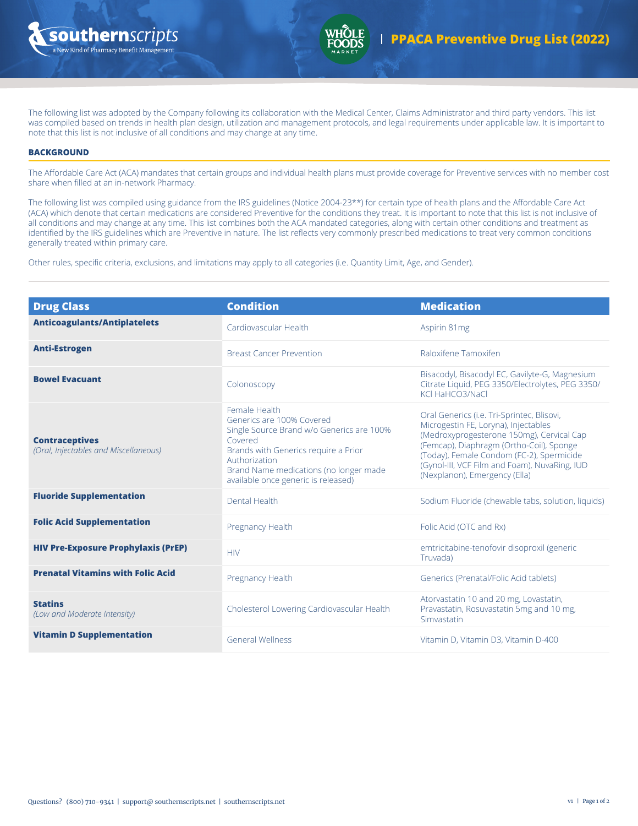



The following list was adopted by the Company following its collaboration with the Medical Center, Claims Administrator and third party vendors. This list was compiled based on trends in health plan design, utilization and management protocols, and legal requirements under applicable law. It is important to note that this list is not inclusive of all conditions and may change at any time.

## **BACKGROUND**

The Affordable Care Act (ACA) mandates that certain groups and individual health plans must provide coverage for Preventive services with no member cost share when filled at an in-network Pharmacy.

The following list was compiled using guidance from the IRS guidelines (Notice 2004-23\*\*) for certain type of health plans and the Affordable Care Act (ACA) which denote that certain medications are considered Preventive for the conditions they treat. It is important to note that this list is not inclusive of all conditions and may change at any time. This list combines both the ACA mandated categories, along with certain other conditions and treatment as identified by the IRS guidelines which are Preventive in nature. The list reflects very commonly prescribed medications to treat very common conditions generally treated within primary care.

Other rules, specific criteria, exclusions, and limitations may apply to all categories (i.e. Quantity Limit, Age, and Gender).

| <b>Drug Class</b>                                              | <b>Condition</b>                                                                                                                                                                                                                             | <b>Medication</b>                                                                                                                                                                                                                                                                                          |
|----------------------------------------------------------------|----------------------------------------------------------------------------------------------------------------------------------------------------------------------------------------------------------------------------------------------|------------------------------------------------------------------------------------------------------------------------------------------------------------------------------------------------------------------------------------------------------------------------------------------------------------|
| <b>Anticoagulants/Antiplatelets</b>                            | Cardiovascular Health                                                                                                                                                                                                                        | Aspirin 81mg                                                                                                                                                                                                                                                                                               |
| <b>Anti-Estrogen</b>                                           | <b>Breast Cancer Prevention</b>                                                                                                                                                                                                              | Raloxifene Tamoxifen                                                                                                                                                                                                                                                                                       |
| <b>Bowel Evacuant</b>                                          | Colonoscopy                                                                                                                                                                                                                                  | Bisacodyl, Bisacodyl EC, Gavilyte-G, Magnesium<br>Citrate Liquid, PEG 3350/Electrolytes, PEG 3350/<br>KCLHaHCO3/NaCL                                                                                                                                                                                       |
| <b>Contraceptives</b><br>(Oral, Injectables and Miscellaneous) | Female Health<br>Generics are 100% Covered<br>Single Source Brand w/o Generics are 100%<br>Covered<br>Brands with Generics require a Prior<br>Authorization<br>Brand Name medications (no longer made<br>available once generic is released) | Oral Generics (i.e. Tri-Sprintec, Blisovi,<br>Microgestin FE, Loryna), Injectables<br>(Medroxyprogesterone 150mg), Cervical Cap<br>(Femcap), Diaphragm (Ortho-Coil), Sponge<br>(Today), Female Condom (FC-2), Spermicide<br>(Gynol-III, VCF Film and Foam), NuvaRing, IUD<br>(Nexplanon), Emergency (Ella) |
| <b>Fluoride Supplementation</b>                                | Dental Health                                                                                                                                                                                                                                | Sodium Fluoride (chewable tabs, solution, liquids)                                                                                                                                                                                                                                                         |
| <b>Folic Acid Supplementation</b>                              | Pregnancy Health                                                                                                                                                                                                                             | Folic Acid (OTC and Rx)                                                                                                                                                                                                                                                                                    |
| <b>HIV Pre-Exposure Prophylaxis (PrEP)</b>                     | <b>HIV</b>                                                                                                                                                                                                                                   | emtricitabine-tenofovir disoproxil (generic<br>Truvada)                                                                                                                                                                                                                                                    |
| <b>Prenatal Vitamins with Folic Acid</b>                       | <b>Pregnancy Health</b>                                                                                                                                                                                                                      | Generics (Prenatal/Folic Acid tablets)                                                                                                                                                                                                                                                                     |
| <b>Statins</b><br>(Low and Moderate Intensity)                 | Cholesterol Lowering Cardiovascular Health                                                                                                                                                                                                   | Atorvastatin 10 and 20 mg, Lovastatin,<br>Pravastatin, Rosuvastatin 5mg and 10 mg,<br>Simvastatin                                                                                                                                                                                                          |
| <b>Vitamin D Supplementation</b>                               | <b>General Wellness</b>                                                                                                                                                                                                                      | Vitamin D, Vitamin D3, Vitamin D-400                                                                                                                                                                                                                                                                       |